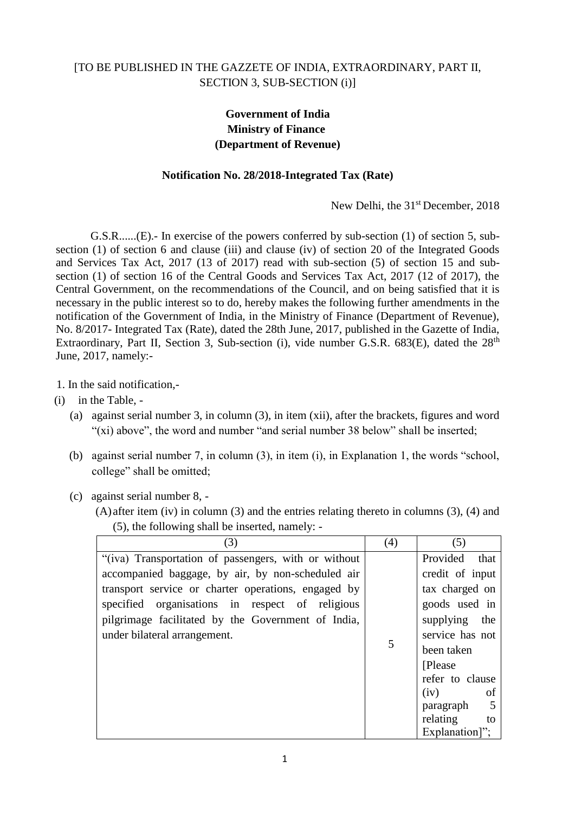## [TO BE PUBLISHED IN THE GAZZETE OF INDIA, EXTRAORDINARY, PART II, SECTION 3, SUB-SECTION (i)]

## **Government of India Ministry of Finance (Department of Revenue)**

## **Notification No. 28/2018-Integrated Tax (Rate)**

New Delhi, the 31<sup>st</sup> December, 2018

G.S.R......(E).- In exercise of the powers conferred by sub-section (1) of section 5, subsection (1) of section 6 and clause (iii) and clause (iv) of section 20 of the Integrated Goods and Services Tax Act, 2017 (13 of 2017) read with sub-section (5) of section 15 and subsection (1) of section 16 of the Central Goods and Services Tax Act, 2017 (12 of 2017), the Central Government, on the recommendations of the Council, and on being satisfied that it is necessary in the public interest so to do, hereby makes the following further amendments in the notification of the Government of India, in the Ministry of Finance (Department of Revenue), No. 8/2017- Integrated Tax (Rate), dated the 28th June, 2017, published in the Gazette of India, Extraordinary, Part II, Section 3, Sub-section (i), vide number G.S.R.  $683(E)$ , dated the  $28<sup>th</sup>$ June, 2017, namely:-

- 1. In the said notification,-
- (i) in the Table,
	- (a) against serial number 3, in column (3), in item (xii), after the brackets, figures and word "(xi) above", the word and number "and serial number 38 below" shall be inserted;
	- (b) against serial number 7, in column (3), in item (i), in Explanation 1, the words "school, college" shall be omitted;
	- (c) against serial number 8,
		- (A) after item (iv) in column (3) and the entries relating thereto in columns (3), (4) and (5), the following shall be inserted, namely: -

| (3)                                                  | (4) | (5)              |
|------------------------------------------------------|-----|------------------|
| "(iva) Transportation of passengers, with or without |     | Provided<br>that |
| accompanied baggage, by air, by non-scheduled air    |     | credit of input  |
| transport service or charter operations, engaged by  |     | tax charged on   |
| specified organisations in respect of religious      |     | goods used in    |
| pilgrimage facilitated by the Government of India,   |     | supplying the    |
| under bilateral arrangement.                         |     | service has not  |
|                                                      | 5   | been taken       |
|                                                      |     | [Please]         |
|                                                      |     | refer to clause  |
|                                                      |     | (iv)<br>of       |
|                                                      |     | paragraph        |
|                                                      |     | relating<br>to   |
|                                                      |     | Explanation]";   |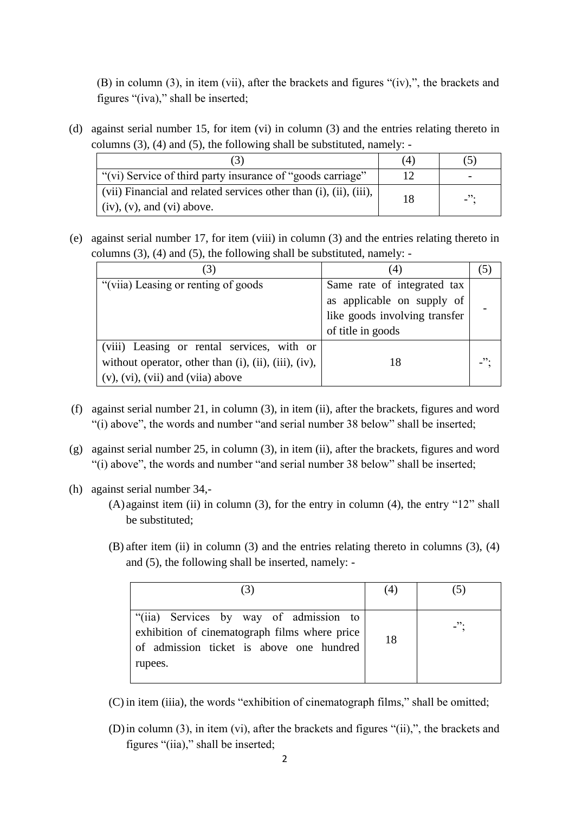(B) in column (3), in item (vii), after the brackets and figures "(iv),", the brackets and figures "(iva)," shall be inserted;

(d) against serial number 15, for item (vi) in column (3) and the entries relating thereto in columns (3), (4) and (5), the following shall be substituted, namely: -

|                                                                   | (4) |         |
|-------------------------------------------------------------------|-----|---------|
| "(vi) Service of third party insurance of "goods carriage"        |     |         |
| (vii) Financial and related services other than (i), (ii), (iii), | 18  | $\cdot$ |
| $\vert$ (iv), (v), and (vi) above.                                |     |         |

(e) against serial number 17, for item (viii) in column (3) and the entries relating thereto in columns (3), (4) and (5), the following shall be substituted, namely: -

| $\mathcal{E}$                                                    |                               |  |
|------------------------------------------------------------------|-------------------------------|--|
| "(viia) Leasing or renting of goods                              | Same rate of integrated tax   |  |
|                                                                  | as applicable on supply of    |  |
|                                                                  | like goods involving transfer |  |
|                                                                  | of title in goods             |  |
| (viii) Leasing or rental services, with or                       |                               |  |
| without operator, other than $(i)$ , $(ii)$ , $(iii)$ , $(iv)$ , | 18                            |  |
| $(v)$ , $(vi)$ , $(vii)$ and $(vii)$ above                       |                               |  |

- (f) against serial number 21, in column (3), in item (ii), after the brackets, figures and word "(i) above", the words and number "and serial number 38 below" shall be inserted;
- (g) against serial number 25, in column (3), in item (ii), after the brackets, figures and word "(i) above", the words and number "and serial number 38 below" shall be inserted;
- (h) against serial number 34,-
	- $(A)$  against item (ii) in column (3), for the entry in column (4), the entry "12" shall be substituted;
	- (B) after item (ii) in column (3) and the entries relating thereto in columns (3), (4) and (5), the following shall be inserted, namely: -

|                                                                                                                                                | (4) |            |
|------------------------------------------------------------------------------------------------------------------------------------------------|-----|------------|
| "(iia) Services by way of admission to<br>exhibition of cinematograph films where price<br>of admission ticket is above one hundred<br>rupees. | 18  | $\cdot$ ": |

(C) in item (iiia), the words "exhibition of cinematograph films," shall be omitted;

(D)in column (3), in item (vi), after the brackets and figures "(ii),", the brackets and figures "(iia)," shall be inserted;